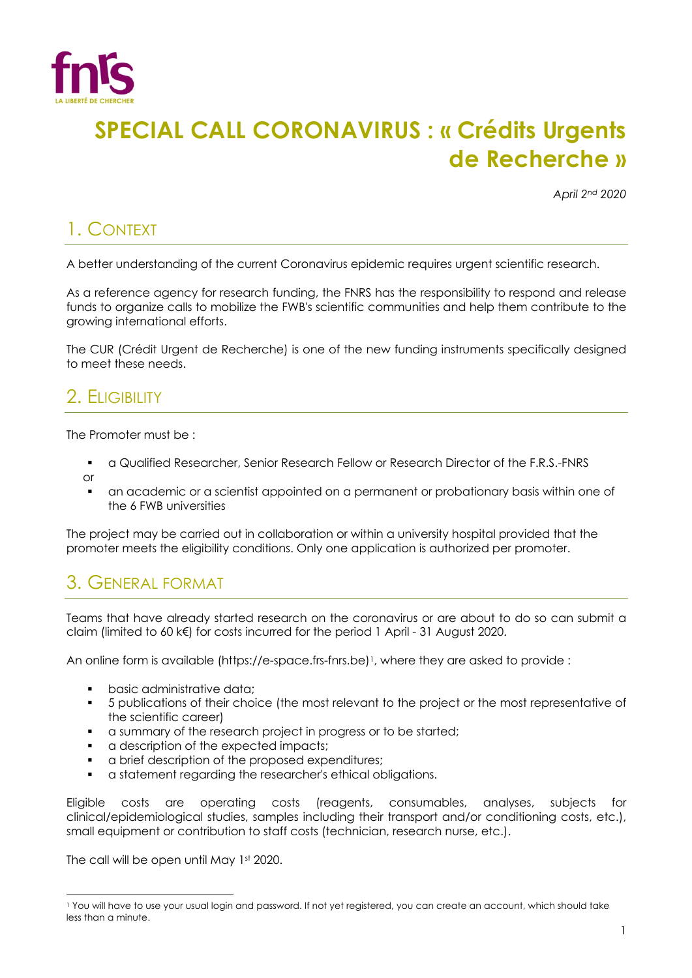

# **SPECIAL CALL CORONAVIRUS : « Crédits Urgents de Recherche »**

*April 2nd 2020*

## 1. CONTEXT

A better understanding of the current Coronavirus epidemic requires urgent scientific research.

As a reference agency for research funding, the FNRS has the responsibility to respond and release funds to organize calls to mobilize the FWB's scientific communities and help them contribute to the growing international efforts.

The CUR (Crédit Urgent de Recherche) is one of the new funding instruments specifically designed to meet these needs.

### 2. ELIGIBILITY

The Promoter must be :

- § a Qualified Researcher, Senior Research Fellow or Research Director of the F.R.S.-FNRS or
- § an academic or a scientist appointed on a permanent or probationary basis within one of the 6 FWB universities

The project may be carried out in collaboration or within a university hospital provided that the promoter meets the eligibility conditions. Only one application is authorized per promoter.

### 3. GENERAL FORMAT

Teams that have already started research on the coronavirus or are about to do so can submit a claim (limited to 60 k€) for costs incurred for the period 1 April - 31 August 2020.

An online form is available (https://e-space.frs-fnrs.be)<sup>1</sup>, where they are asked to provide :

- basic administrative data;
- § 5 publications of their choice (the most relevant to the project or the most representative of the scientific career)
- a summary of the research project in progress or to be started;
- a description of the expected impacts;
- § a brief description of the proposed expenditures;
- § a statement regarding the researcher's ethical obligations.

Eligible costs are operating costs (reagents, consumables, analyses, subjects for clinical/epidemiological studies, samples including their transport and/or conditioning costs, etc.), small equipment or contribution to staff costs (technician, research nurse, etc.).

The call will be open until May 1st 2020.

<sup>1</sup> You will have to use your usual login and password. If not yet registered, you can create an account, which should take less than a minute.